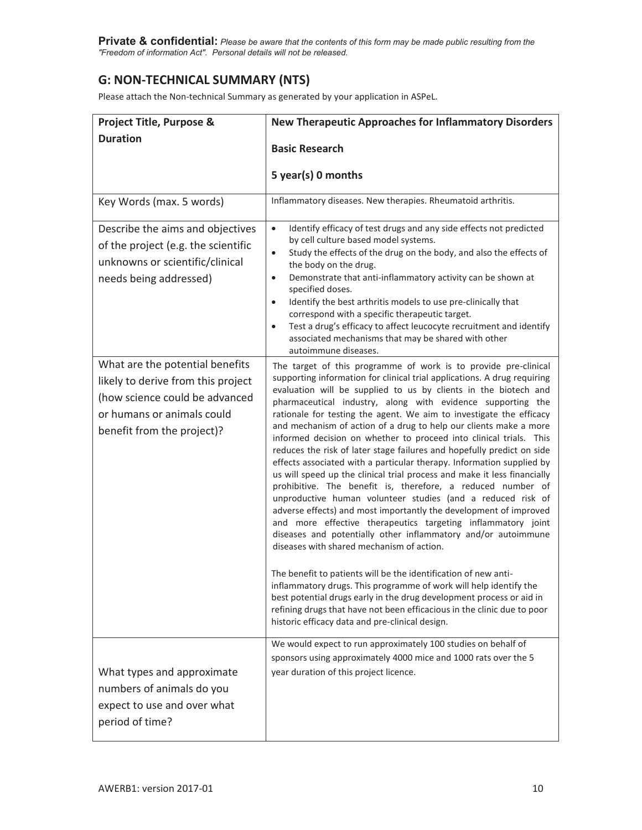**Private & confidential:** *Please be aware that the contents of this form may be made public resulting from the "Freedom of information Act". Personal details will not be released.* 

## **G: NON-TECHNICAL SUMMARY (NTS)**

Please attach the Non-technical Summary as generated by your application in ASPeL.

| <b>Project Title, Purpose &amp;</b>                                                                                                                                 | <b>New Therapeutic Approaches for Inflammatory Disorders</b>                                                                                                                                                                                                                                                                                                                                                                                                                                                                                                                                                                                                                                                                                                                                                                                                                                                                                                                                                                                                                                                                                                                                                                                                                                                                                                                                                                                                  |
|---------------------------------------------------------------------------------------------------------------------------------------------------------------------|---------------------------------------------------------------------------------------------------------------------------------------------------------------------------------------------------------------------------------------------------------------------------------------------------------------------------------------------------------------------------------------------------------------------------------------------------------------------------------------------------------------------------------------------------------------------------------------------------------------------------------------------------------------------------------------------------------------------------------------------------------------------------------------------------------------------------------------------------------------------------------------------------------------------------------------------------------------------------------------------------------------------------------------------------------------------------------------------------------------------------------------------------------------------------------------------------------------------------------------------------------------------------------------------------------------------------------------------------------------------------------------------------------------------------------------------------------------|
| <b>Duration</b>                                                                                                                                                     | <b>Basic Research</b>                                                                                                                                                                                                                                                                                                                                                                                                                                                                                                                                                                                                                                                                                                                                                                                                                                                                                                                                                                                                                                                                                                                                                                                                                                                                                                                                                                                                                                         |
|                                                                                                                                                                     | 5 year(s) 0 months                                                                                                                                                                                                                                                                                                                                                                                                                                                                                                                                                                                                                                                                                                                                                                                                                                                                                                                                                                                                                                                                                                                                                                                                                                                                                                                                                                                                                                            |
| Key Words (max. 5 words)                                                                                                                                            | Inflammatory diseases. New therapies. Rheumatoid arthritis.                                                                                                                                                                                                                                                                                                                                                                                                                                                                                                                                                                                                                                                                                                                                                                                                                                                                                                                                                                                                                                                                                                                                                                                                                                                                                                                                                                                                   |
| Describe the aims and objectives<br>of the project (e.g. the scientific<br>unknowns or scientific/clinical<br>needs being addressed)                                | Identify efficacy of test drugs and any side effects not predicted<br>$\bullet$<br>by cell culture based model systems.<br>Study the effects of the drug on the body, and also the effects of<br>$\bullet$<br>the body on the drug.<br>Demonstrate that anti-inflammatory activity can be shown at<br>$\bullet$<br>specified doses.<br>Identify the best arthritis models to use pre-clinically that<br>$\bullet$<br>correspond with a specific therapeutic target.<br>Test a drug's efficacy to affect leucocyte recruitment and identify<br>$\bullet$<br>associated mechanisms that may be shared with other<br>autoimmune diseases.                                                                                                                                                                                                                                                                                                                                                                                                                                                                                                                                                                                                                                                                                                                                                                                                                        |
| What are the potential benefits<br>likely to derive from this project<br>(how science could be advanced<br>or humans or animals could<br>benefit from the project)? | The target of this programme of work is to provide pre-clinical<br>supporting information for clinical trial applications. A drug requiring<br>evaluation will be supplied to us by clients in the biotech and<br>pharmaceutical industry, along with evidence supporting the<br>rationale for testing the agent. We aim to investigate the efficacy<br>and mechanism of action of a drug to help our clients make a more<br>informed decision on whether to proceed into clinical trials. This<br>reduces the risk of later stage failures and hopefully predict on side<br>effects associated with a particular therapy. Information supplied by<br>us will speed up the clinical trial process and make it less financially<br>prohibitive. The benefit is, therefore, a reduced number of<br>unproductive human volunteer studies (and a reduced risk of<br>adverse effects) and most importantly the development of improved<br>and more effective therapeutics targeting inflammatory joint<br>diseases and potentially other inflammatory and/or autoimmune<br>diseases with shared mechanism of action.<br>The benefit to patients will be the identification of new anti-<br>inflammatory drugs. This programme of work will help identify the<br>best potential drugs early in the drug development process or aid in<br>refining drugs that have not been efficacious in the clinic due to poor<br>historic efficacy data and pre-clinical design. |
| What types and approximate<br>numbers of animals do you<br>expect to use and over what<br>period of time?                                                           | We would expect to run approximately 100 studies on behalf of<br>sponsors using approximately 4000 mice and 1000 rats over the 5<br>year duration of this project licence.                                                                                                                                                                                                                                                                                                                                                                                                                                                                                                                                                                                                                                                                                                                                                                                                                                                                                                                                                                                                                                                                                                                                                                                                                                                                                    |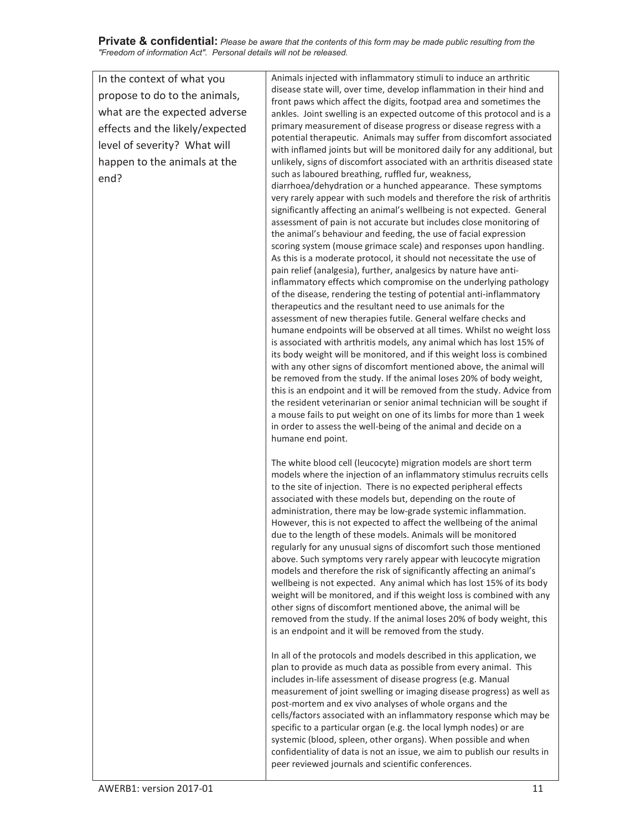**Private & confidential:** *Please be aware that the contents of this form may be made public resulting from the "Freedom of information Act". Personal details will not be released.* 

| In the context of what you<br>propose to do to the animals,<br>what are the expected adverse<br>effects and the likely/expected<br>level of severity? What will<br>happen to the animals at the<br>end? | Animals injected with inflammatory stimuli to induce an arthritic<br>disease state will, over time, develop inflammation in their hind and<br>front paws which affect the digits, footpad area and sometimes the<br>ankles. Joint swelling is an expected outcome of this protocol and is a<br>primary measurement of disease progress or disease regress with a<br>potential therapeutic. Animals may suffer from discomfort associated<br>with inflamed joints but will be monitored daily for any additional, but<br>unlikely, signs of discomfort associated with an arthritis diseased state<br>such as laboured breathing, ruffled fur, weakness,<br>diarrhoea/dehydration or a hunched appearance. These symptoms<br>very rarely appear with such models and therefore the risk of arthritis<br>significantly affecting an animal's wellbeing is not expected. General<br>assessment of pain is not accurate but includes close monitoring of<br>the animal's behaviour and feeding, the use of facial expression<br>scoring system (mouse grimace scale) and responses upon handling.<br>As this is a moderate protocol, it should not necessitate the use of<br>pain relief (analgesia), further, analgesics by nature have anti-<br>inflammatory effects which compromise on the underlying pathology<br>of the disease, rendering the testing of potential anti-inflammatory<br>therapeutics and the resultant need to use animals for the<br>assessment of new therapies futile. General welfare checks and<br>humane endpoints will be observed at all times. Whilst no weight loss<br>is associated with arthritis models, any animal which has lost 15% of<br>its body weight will be monitored, and if this weight loss is combined<br>with any other signs of discomfort mentioned above, the animal will<br>be removed from the study. If the animal loses 20% of body weight,<br>this is an endpoint and it will be removed from the study. Advice from<br>the resident veterinarian or senior animal technician will be sought if<br>a mouse fails to put weight on one of its limbs for more than 1 week<br>in order to assess the well-being of the animal and decide on a |
|---------------------------------------------------------------------------------------------------------------------------------------------------------------------------------------------------------|--------------------------------------------------------------------------------------------------------------------------------------------------------------------------------------------------------------------------------------------------------------------------------------------------------------------------------------------------------------------------------------------------------------------------------------------------------------------------------------------------------------------------------------------------------------------------------------------------------------------------------------------------------------------------------------------------------------------------------------------------------------------------------------------------------------------------------------------------------------------------------------------------------------------------------------------------------------------------------------------------------------------------------------------------------------------------------------------------------------------------------------------------------------------------------------------------------------------------------------------------------------------------------------------------------------------------------------------------------------------------------------------------------------------------------------------------------------------------------------------------------------------------------------------------------------------------------------------------------------------------------------------------------------------------------------------------------------------------------------------------------------------------------------------------------------------------------------------------------------------------------------------------------------------------------------------------------------------------------------------------------------------------------------------------------------------------------------------------------------------------------------------------------------------------------------------------|
|                                                                                                                                                                                                         | humane end point.<br>The white blood cell (leucocyte) migration models are short term<br>models where the injection of an inflammatory stimulus recruits cells<br>to the site of injection. There is no expected peripheral effects<br>associated with these models but, depending on the route of<br>administration, there may be low-grade systemic inflammation.<br>However, this is not expected to affect the wellbeing of the animal<br>due to the length of these models. Animals will be monitored<br>regularly for any unusual signs of discomfort such those mentioned<br>above. Such symptoms very rarely appear with leucocyte migration<br>models and therefore the risk of significantly affecting an animal's<br>wellbeing is not expected. Any animal which has lost 15% of its body<br>weight will be monitored, and if this weight loss is combined with any<br>other signs of discomfort mentioned above, the animal will be<br>removed from the study. If the animal loses 20% of body weight, this<br>is an endpoint and it will be removed from the study.                                                                                                                                                                                                                                                                                                                                                                                                                                                                                                                                                                                                                                                                                                                                                                                                                                                                                                                                                                                                                                                                                                                 |
|                                                                                                                                                                                                         | In all of the protocols and models described in this application, we<br>plan to provide as much data as possible from every animal. This<br>includes in-life assessment of disease progress (e.g. Manual<br>measurement of joint swelling or imaging disease progress) as well as<br>post-mortem and ex vivo analyses of whole organs and the<br>cells/factors associated with an inflammatory response which may be<br>specific to a particular organ (e.g. the local lymph nodes) or are<br>systemic (blood, spleen, other organs). When possible and when<br>confidentiality of data is not an issue, we aim to publish our results in<br>peer reviewed journals and scientific conferences.                                                                                                                                                                                                                                                                                                                                                                                                                                                                                                                                                                                                                                                                                                                                                                                                                                                                                                                                                                                                                                                                                                                                                                                                                                                                                                                                                                                                                                                                                                  |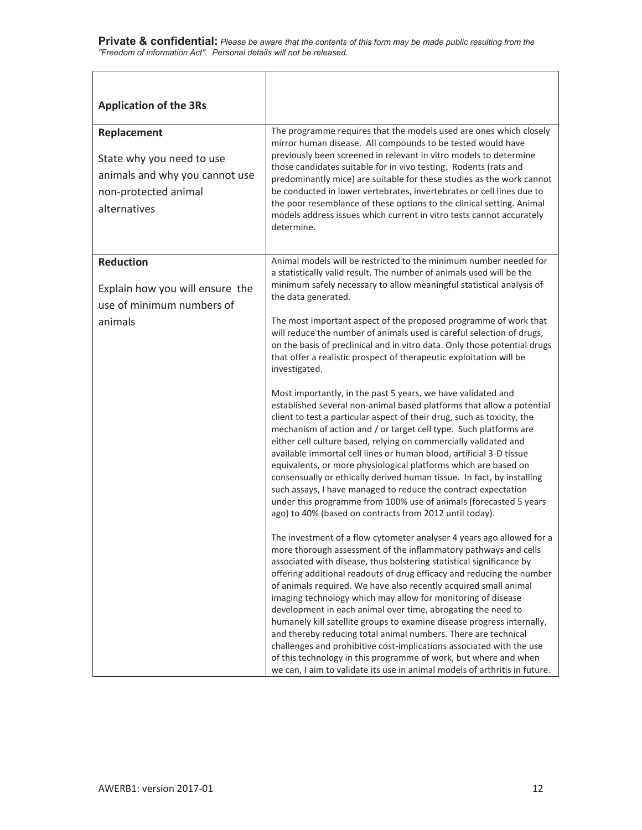| <b>Application of the 3Rs</b>                                                                                      |                                                                                                                                                                                                                                                                                                                                                                                                                                                                                                                                                                                                                                                                                                                                                                                                                                                                     |
|--------------------------------------------------------------------------------------------------------------------|---------------------------------------------------------------------------------------------------------------------------------------------------------------------------------------------------------------------------------------------------------------------------------------------------------------------------------------------------------------------------------------------------------------------------------------------------------------------------------------------------------------------------------------------------------------------------------------------------------------------------------------------------------------------------------------------------------------------------------------------------------------------------------------------------------------------------------------------------------------------|
| Replacement<br>State why you need to use<br>animals and why you cannot use<br>non-protected animal<br>alternatives | The programme requires that the models used are ones which closely<br>mirror human disease. All compounds to be tested would have<br>previously been screened in relevant in vitro models to determine<br>those candidates suitable for in vivo testing. Rodents (rats and<br>predominantly mice) are suitable for these studies as the work cannot<br>be conducted in lower vertebrates, invertebrates or cell lines due to<br>the poor resemblance of these options to the clinical setting. Animal<br>models address issues which current in vitro tests cannot accurately<br>determine.                                                                                                                                                                                                                                                                         |
| <b>Reduction</b><br>Explain how you will ensure the<br>use of minimum numbers of                                   | Animal models will be restricted to the minimum number needed for<br>a statistically valid result. The number of animals used will be the<br>minimum safely necessary to allow meaningful statistical analysis of<br>the data generated.                                                                                                                                                                                                                                                                                                                                                                                                                                                                                                                                                                                                                            |
| animals                                                                                                            | The most important aspect of the proposed programme of work that<br>will reduce the number of animals used is careful selection of drugs,<br>on the basis of preclinical and in vitro data. Only those potential drugs<br>that offer a realistic prospect of therapeutic exploitation will be<br>investigated.                                                                                                                                                                                                                                                                                                                                                                                                                                                                                                                                                      |
|                                                                                                                    | Most importantly, in the past 5 years, we have validated and<br>established several non-animal based platforms that allow a potential<br>client to test a particular aspect of their drug, such as toxicity, the<br>mechanism of action and / or target cell type. Such platforms are<br>either cell culture based, relying on commercially validated and<br>available immortal cell lines or human blood, artificial 3-D tissue<br>equivalents, or more physiological platforms which are based on<br>consensually or ethically derived human tissue. In fact, by installing<br>such assays, I have managed to reduce the contract expectation<br>under this programme from 100% use of animals (forecasted 5 years<br>ago) to 40% (based on contracts from 2012 until today).                                                                                     |
|                                                                                                                    | The investment of a flow cytometer analyser 4 years ago allowed for a<br>more thorough assessment of the inflammatory pathways and cells<br>associated with disease, thus bolstering statistical significance by<br>offering additional readouts of drug efficacy and reducing the number<br>of animals required. We have also recently acquired small animal<br>imaging technology which may allow for monitoring of disease<br>development in each animal over time, abrogating the need to<br>humanely kill satellite groups to examine disease progress internally,<br>and thereby reducing total animal numbers. There are technical<br>challenges and prohibitive cost-implications associated with the use<br>of this technology in this programme of work, but where and when<br>we can, I aim to validate its use in animal models of arthritis in future. |